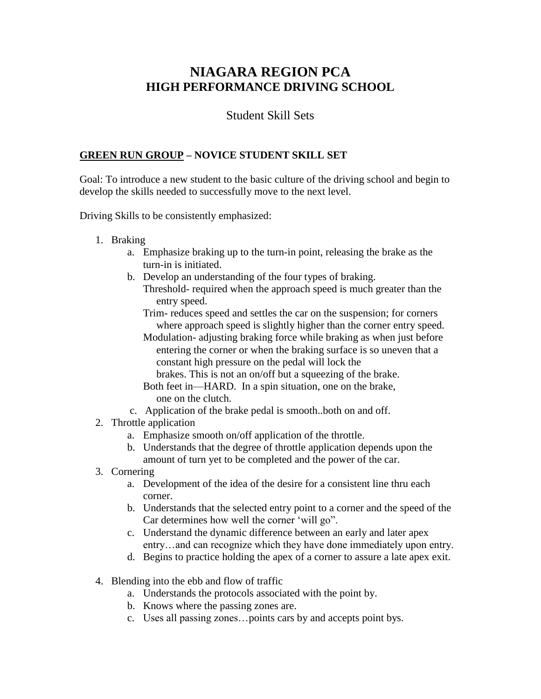# **NIAGARA REGION PCA HIGH PERFORMANCE DRIVING SCHOOL**

# Student Skill Sets

### **GREEN RUN GROUP – NOVICE STUDENT SKILL SET**

Goal: To introduce a new student to the basic culture of the driving school and begin to develop the skills needed to successfully move to the next level.

Driving Skills to be consistently emphasized:

- 1. Braking
	- a. Emphasize braking up to the turn-in point, releasing the brake as the turn-in is initiated.
	- b. Develop an understanding of the four types of braking.
		- Threshold- required when the approach speed is much greater than the entry speed.
			- Trim- reduces speed and settles the car on the suspension; for corners where approach speed is slightly higher than the corner entry speed.
			- Modulation- adjusting braking force while braking as when just before entering the corner or when the braking surface is so uneven that a constant high pressure on the pedal will lock the

brakes. This is not an on/off but a squeezing of the brake.

- Both feet in—HARD. In a spin situation, one on the brake, one on the clutch.
- c. Application of the brake pedal is smooth..both on and off.
- 2. Throttle application
	- a. Emphasize smooth on/off application of the throttle.
	- b. Understands that the degree of throttle application depends upon the amount of turn yet to be completed and the power of the car.
- 3. Cornering
	- a. Development of the idea of the desire for a consistent line thru each corner.
	- b. Understands that the selected entry point to a corner and the speed of the Car determines how well the corner 'will go".
	- c. Understand the dynamic difference between an early and later apex entry…and can recognize which they have done immediately upon entry.
	- d. Begins to practice holding the apex of a corner to assure a late apex exit.
- 4. Blending into the ebb and flow of traffic
	- a. Understands the protocols associated with the point by.
	- b. Knows where the passing zones are.
	- c. Uses all passing zones…points cars by and accepts point bys.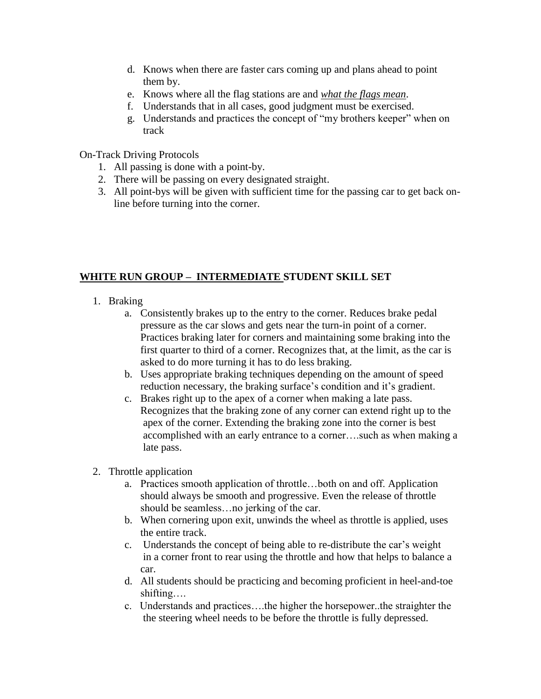- d. Knows when there are faster cars coming up and plans ahead to point them by.
- e. Knows where all the flag stations are and *what the flags mean*.
- f. Understands that in all cases, good judgment must be exercised.
- g. Understands and practices the concept of "my brothers keeper" when on track

On-Track Driving Protocols

- 1. All passing is done with a point-by.
- 2. There will be passing on every designated straight.
- 3. All point-bys will be given with sufficient time for the passing car to get back online before turning into the corner.

## **WHITE RUN GROUP – INTERMEDIATE STUDENT SKILL SET**

- 1. Braking
	- a. Consistently brakes up to the entry to the corner. Reduces brake pedal pressure as the car slows and gets near the turn-in point of a corner. Practices braking later for corners and maintaining some braking into the first quarter to third of a corner. Recognizes that, at the limit, as the car is asked to do more turning it has to do less braking.
	- b. Uses appropriate braking techniques depending on the amount of speed reduction necessary, the braking surface's condition and it's gradient.
	- c. Brakes right up to the apex of a corner when making a late pass. Recognizes that the braking zone of any corner can extend right up to the apex of the corner. Extending the braking zone into the corner is best accomplished with an early entrance to a corner….such as when making a late pass.
- 2. Throttle application
	- a. Practices smooth application of throttle…both on and off. Application should always be smooth and progressive. Even the release of throttle should be seamless…no jerking of the car.
	- b. When cornering upon exit, unwinds the wheel as throttle is applied, uses the entire track.
	- c. Understands the concept of being able to re-distribute the car's weight in a corner front to rear using the throttle and how that helps to balance a car.
	- d. All students should be practicing and becoming proficient in heel-and-toe shifting….
	- c. Understands and practices….the higher the horsepower..the straighter the the steering wheel needs to be before the throttle is fully depressed.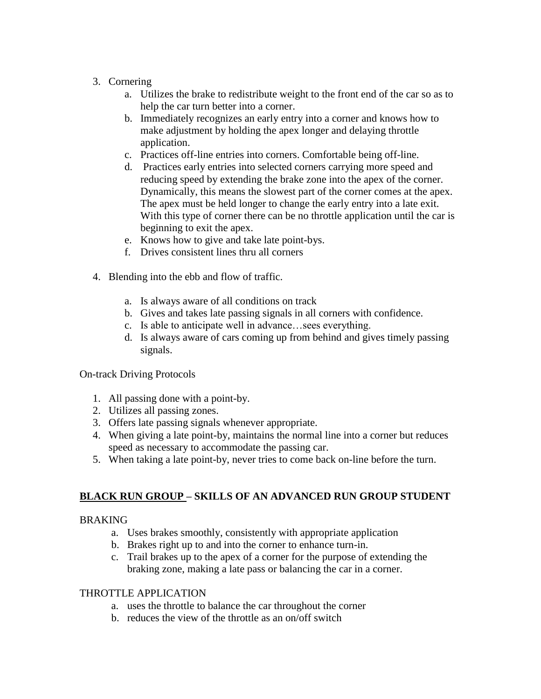### 3. Cornering

- a. Utilizes the brake to redistribute weight to the front end of the car so as to help the car turn better into a corner.
- b. Immediately recognizes an early entry into a corner and knows how to make adjustment by holding the apex longer and delaying throttle application.
- c. Practices off-line entries into corners. Comfortable being off-line.
- d. Practices early entries into selected corners carrying more speed and reducing speed by extending the brake zone into the apex of the corner. Dynamically, this means the slowest part of the corner comes at the apex. The apex must be held longer to change the early entry into a late exit. With this type of corner there can be no throttle application until the car is beginning to exit the apex.
- e. Knows how to give and take late point-bys.
- f. Drives consistent lines thru all corners
- 4. Blending into the ebb and flow of traffic.
	- a. Is always aware of all conditions on track
	- b. Gives and takes late passing signals in all corners with confidence.
	- c. Is able to anticipate well in advance…sees everything.
	- d. Is always aware of cars coming up from behind and gives timely passing signals.

### On-track Driving Protocols

- 1. All passing done with a point-by.
- 2. Utilizes all passing zones.
- 3. Offers late passing signals whenever appropriate.
- 4. When giving a late point-by, maintains the normal line into a corner but reduces speed as necessary to accommodate the passing car.
- 5. When taking a late point-by, never tries to come back on-line before the turn.

### **BLACK RUN GROUP – SKILLS OF AN ADVANCED RUN GROUP STUDENT**

#### **BRAKING**

- a. Uses brakes smoothly, consistently with appropriate application
- b. Brakes right up to and into the corner to enhance turn-in.
- c. Trail brakes up to the apex of a corner for the purpose of extending the braking zone, making a late pass or balancing the car in a corner.

#### THROTTLE APPLICATION

- a. uses the throttle to balance the car throughout the corner
- b. reduces the view of the throttle as an on/off switch